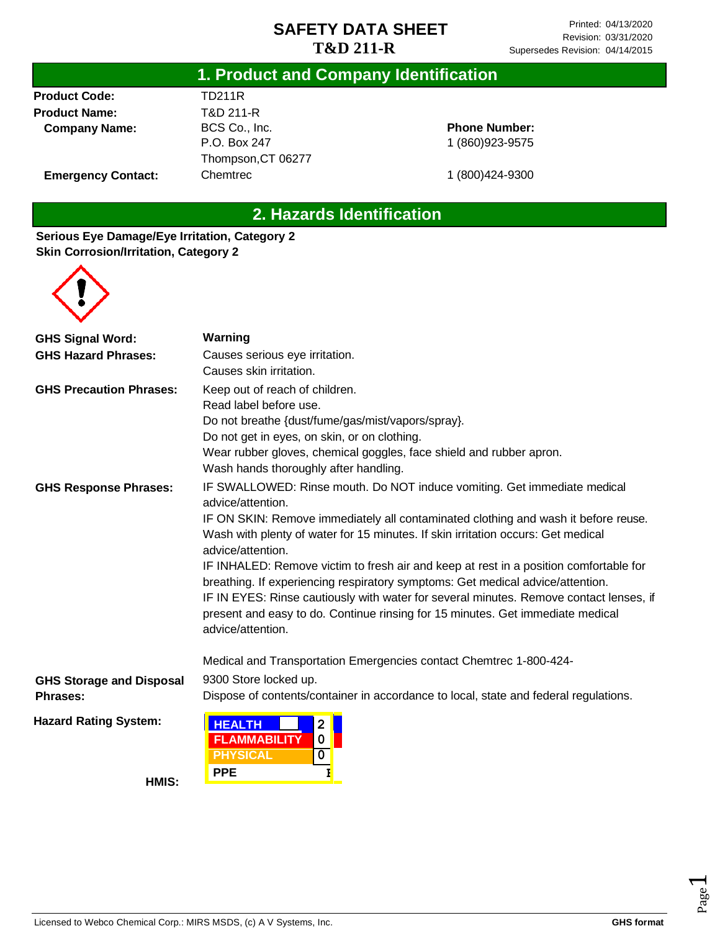#### **1. Product and Company Identification**

**Product Code: Product Name: Company Name:**

#### TD211R T&D 211-R BCS Co., Inc. P.O. Box 247 Thompson,CT 06277 **Chemtrec**

#### **Phone Number:** 1 (860)923-9575

**Emergency Contact:**

1 (800)424-9300

## **2. Hazards Identification**

#### **Serious Eye Damage/Eye Irritation, Category 2 Skin Corrosion/Irritation, Category 2**



| <b>GHS Signal Word:</b>         | Warning                                                                                                                                                                                       |  |  |  |
|---------------------------------|-----------------------------------------------------------------------------------------------------------------------------------------------------------------------------------------------|--|--|--|
| <b>GHS Hazard Phrases:</b>      | Causes serious eye irritation.                                                                                                                                                                |  |  |  |
|                                 | Causes skin irritation.                                                                                                                                                                       |  |  |  |
| <b>GHS Precaution Phrases:</b>  | Keep out of reach of children.                                                                                                                                                                |  |  |  |
|                                 | Read label before use.                                                                                                                                                                        |  |  |  |
|                                 | Do not breathe {dust/fume/gas/mist/vapors/spray}.                                                                                                                                             |  |  |  |
|                                 | Do not get in eyes, on skin, or on clothing.                                                                                                                                                  |  |  |  |
|                                 | Wear rubber gloves, chemical goggles, face shield and rubber apron.                                                                                                                           |  |  |  |
|                                 | Wash hands thoroughly after handling.                                                                                                                                                         |  |  |  |
| <b>GHS Response Phrases:</b>    | IF SWALLOWED: Rinse mouth. Do NOT induce vomiting. Get immediate medical<br>advice/attention.                                                                                                 |  |  |  |
|                                 | IF ON SKIN: Remove immediately all contaminated clothing and wash it before reuse.                                                                                                            |  |  |  |
|                                 | Wash with plenty of water for 15 minutes. If skin irritation occurs: Get medical                                                                                                              |  |  |  |
|                                 | advice/attention.                                                                                                                                                                             |  |  |  |
|                                 | IF INHALED: Remove victim to fresh air and keep at rest in a position comfortable for                                                                                                         |  |  |  |
|                                 | breathing. If experiencing respiratory symptoms: Get medical advice/attention.                                                                                                                |  |  |  |
|                                 | IF IN EYES: Rinse cautiously with water for several minutes. Remove contact lenses, if<br>present and easy to do. Continue rinsing for 15 minutes. Get immediate medical<br>advice/attention. |  |  |  |
|                                 |                                                                                                                                                                                               |  |  |  |
|                                 | Medical and Transportation Emergencies contact Chemtrec 1-800-424-                                                                                                                            |  |  |  |
| <b>GHS Storage and Disposal</b> | 9300 Store locked up.                                                                                                                                                                         |  |  |  |
| Phrases:                        | Dispose of contents/container in accordance to local, state and federal regulations.                                                                                                          |  |  |  |
| <b>Hazard Rating System:</b>    | <b>HEALTH</b><br>$\overline{2}$                                                                                                                                                               |  |  |  |
|                                 | <b>FLAMMABILITY</b><br>0                                                                                                                                                                      |  |  |  |
|                                 | <b>PHYSICAL</b><br>$\overline{\mathbf{0}}$                                                                                                                                                    |  |  |  |
| HMIS:                           | <b>PPE</b><br>I                                                                                                                                                                               |  |  |  |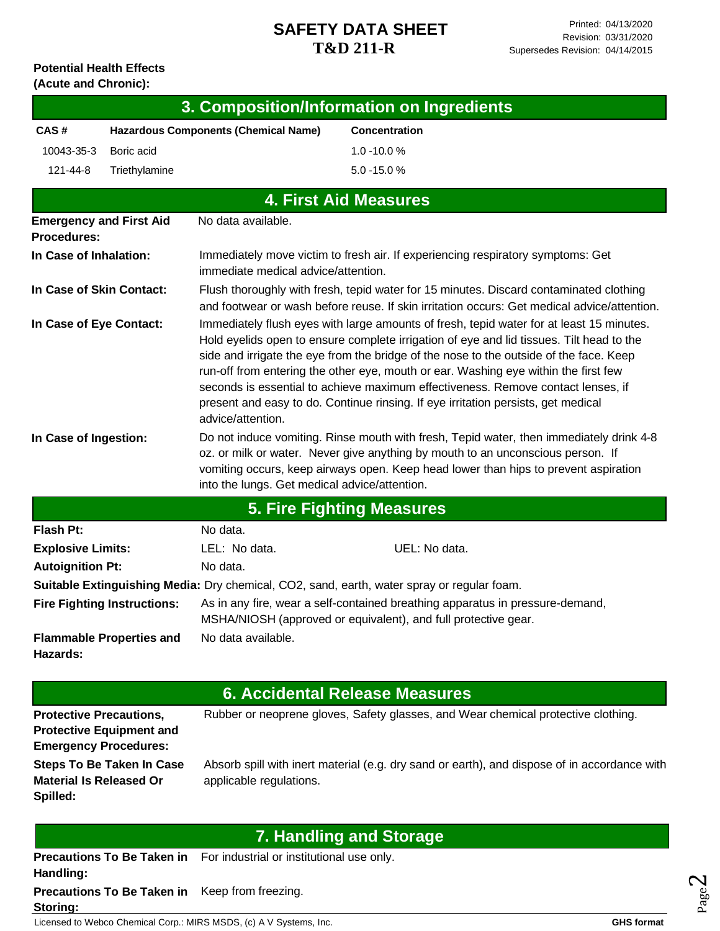# **Potential Health Effects**

| (Acute and Chronic):           |                                                                 |                                               |                                                                                                                                                                                                                                                                                                                                                                                                                                                                                                                                                |
|--------------------------------|-----------------------------------------------------------------|-----------------------------------------------|------------------------------------------------------------------------------------------------------------------------------------------------------------------------------------------------------------------------------------------------------------------------------------------------------------------------------------------------------------------------------------------------------------------------------------------------------------------------------------------------------------------------------------------------|
|                                |                                                                 |                                               | 3. Composition/Information on Ingredients                                                                                                                                                                                                                                                                                                                                                                                                                                                                                                      |
| CAS#                           |                                                                 | <b>Hazardous Components (Chemical Name)</b>   | <b>Concentration</b>                                                                                                                                                                                                                                                                                                                                                                                                                                                                                                                           |
| 10043-35-3                     | Boric acid                                                      |                                               | $1.0 - 10.0 %$                                                                                                                                                                                                                                                                                                                                                                                                                                                                                                                                 |
| 121-44-8                       | Triethylamine                                                   |                                               | $5.0 - 15.0 %$                                                                                                                                                                                                                                                                                                                                                                                                                                                                                                                                 |
|                                |                                                                 |                                               | <b>4. First Aid Measures</b>                                                                                                                                                                                                                                                                                                                                                                                                                                                                                                                   |
| <b>Procedures:</b>             | <b>Emergency and First Aid</b>                                  | No data available.                            |                                                                                                                                                                                                                                                                                                                                                                                                                                                                                                                                                |
| In Case of Inhalation:         |                                                                 | immediate medical advice/attention.           | Immediately move victim to fresh air. If experiencing respiratory symptoms: Get                                                                                                                                                                                                                                                                                                                                                                                                                                                                |
| In Case of Skin Contact:       |                                                                 |                                               | Flush thoroughly with fresh, tepid water for 15 minutes. Discard contaminated clothing<br>and footwear or wash before reuse. If skin irritation occurs: Get medical advice/attention.                                                                                                                                                                                                                                                                                                                                                          |
| In Case of Eye Contact:        |                                                                 | advice/attention.                             | Immediately flush eyes with large amounts of fresh, tepid water for at least 15 minutes.<br>Hold eyelids open to ensure complete irrigation of eye and lid tissues. Tilt head to the<br>side and irrigate the eye from the bridge of the nose to the outside of the face. Keep<br>run-off from entering the other eye, mouth or ear. Washing eye within the first few<br>seconds is essential to achieve maximum effectiveness. Remove contact lenses, if<br>present and easy to do. Continue rinsing. If eye irritation persists, get medical |
| In Case of Ingestion:          |                                                                 | into the lungs. Get medical advice/attention. | Do not induce vomiting. Rinse mouth with fresh, Tepid water, then immediately drink 4-8<br>oz. or milk or water. Never give anything by mouth to an unconscious person. If<br>vomiting occurs, keep airways open. Keep head lower than hips to prevent aspiration                                                                                                                                                                                                                                                                              |
|                                |                                                                 |                                               | <b>5. Fire Fighting Measures</b>                                                                                                                                                                                                                                                                                                                                                                                                                                                                                                               |
| <b>Flash Pt:</b>               |                                                                 | No data.                                      |                                                                                                                                                                                                                                                                                                                                                                                                                                                                                                                                                |
| <b>Explosive Limits:</b>       |                                                                 | LEL: No data.                                 | UEL: No data.                                                                                                                                                                                                                                                                                                                                                                                                                                                                                                                                  |
| <b>Autoignition Pt:</b>        |                                                                 | No data.                                      |                                                                                                                                                                                                                                                                                                                                                                                                                                                                                                                                                |
|                                |                                                                 |                                               | Suitable Extinguishing Media: Dry chemical, CO2, sand, earth, water spray or regular foam.                                                                                                                                                                                                                                                                                                                                                                                                                                                     |
|                                |                                                                 |                                               | Fire Fighting Instructions: As in any fire, wear a self-contained breathing apparatus in pressure-demand,<br>MSHA/NIOSH (approved or equivalent), and full protective gear.                                                                                                                                                                                                                                                                                                                                                                    |
| Hazards:                       | <b>Flammable Properties and</b>                                 | No data available.                            |                                                                                                                                                                                                                                                                                                                                                                                                                                                                                                                                                |
|                                |                                                                 |                                               | 6. Accidental Release Measures                                                                                                                                                                                                                                                                                                                                                                                                                                                                                                                 |
| <b>Protective Precautions,</b> | <b>Protective Equipment and</b><br><b>Emergency Procedures:</b> |                                               | Rubber or neoprene gloves, Safety glasses, and Wear chemical protective clothing.                                                                                                                                                                                                                                                                                                                                                                                                                                                              |
|                                | <b>Steps To Be Taken In Case</b>                                |                                               | Absorb spill with inert material (e.g. dry sand or earth), and dispose of in accordance with                                                                                                                                                                                                                                                                                                                                                                                                                                                   |

**Material Is Released Or**  applicable regulations. **Spilled:**

 $\,$  p spill with inert material (e.g. dry sand or earth), and dispose of in accordance  $\,$ 

Page

|                                                                    | 7. Handling and Storage                                                     |                   |
|--------------------------------------------------------------------|-----------------------------------------------------------------------------|-------------------|
| Handling:                                                          | <b>Precautions To Be Taken in</b> For industrial or institutional use only. | $\mathbf{\sim}$   |
| Precautions To Be Taken in Keep from freezing.<br>Storing:         |                                                                             |                   |
| Licensed to Webco Chemical Corp.: MIRS MSDS, (c) A V Systems, Inc. |                                                                             | <b>GHS format</b> |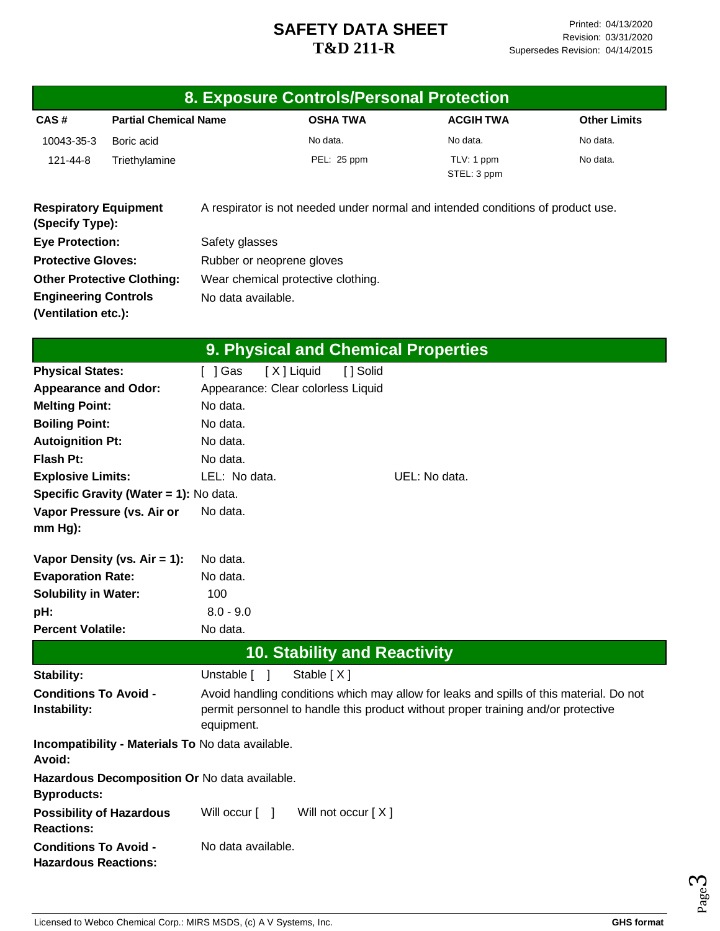|                                                             |                                                   |                           | 8. Exposure Controls/Personal Protection                                                                                                                                     |               |                           |                     |
|-------------------------------------------------------------|---------------------------------------------------|---------------------------|------------------------------------------------------------------------------------------------------------------------------------------------------------------------------|---------------|---------------------------|---------------------|
| CAS#                                                        | <b>Partial Chemical Name</b>                      |                           | <b>OSHA TWA</b>                                                                                                                                                              |               | <b>ACGIH TWA</b>          | <b>Other Limits</b> |
| 10043-35-3                                                  | Boric acid                                        |                           | No data.                                                                                                                                                                     |               | No data.                  | No data.            |
| 121-44-8                                                    | Triethylamine                                     |                           | PEL: 25 ppm                                                                                                                                                                  |               | TLV: 1 ppm<br>STEL: 3 ppm | No data.            |
| <b>Respiratory Equipment</b><br>(Specify Type):             |                                                   |                           | A respirator is not needed under normal and intended conditions of product use.                                                                                              |               |                           |                     |
| <b>Eye Protection:</b>                                      |                                                   | Safety glasses            |                                                                                                                                                                              |               |                           |                     |
| <b>Protective Gloves:</b>                                   |                                                   | Rubber or neoprene gloves |                                                                                                                                                                              |               |                           |                     |
|                                                             | <b>Other Protective Clothing:</b>                 |                           | Wear chemical protective clothing.                                                                                                                                           |               |                           |                     |
| <b>Engineering Controls</b>                                 |                                                   | No data available.        |                                                                                                                                                                              |               |                           |                     |
| (Ventilation etc.):                                         |                                                   |                           |                                                                                                                                                                              |               |                           |                     |
|                                                             |                                                   |                           | 9. Physical and Chemical Properties                                                                                                                                          |               |                           |                     |
| <b>Physical States:</b>                                     |                                                   | I 1Gas                    | [X] Liquid<br>[ ] Solid                                                                                                                                                      |               |                           |                     |
| <b>Appearance and Odor:</b>                                 |                                                   |                           | Appearance: Clear colorless Liquid                                                                                                                                           |               |                           |                     |
| <b>Melting Point:</b>                                       |                                                   | No data.                  |                                                                                                                                                                              |               |                           |                     |
| <b>Boiling Point:</b>                                       |                                                   | No data.                  |                                                                                                                                                                              |               |                           |                     |
| <b>Autoignition Pt:</b>                                     |                                                   | No data.                  |                                                                                                                                                                              |               |                           |                     |
| <b>Flash Pt:</b>                                            |                                                   | No data.                  |                                                                                                                                                                              |               |                           |                     |
| <b>Explosive Limits:</b>                                    |                                                   | LEL: No data.             |                                                                                                                                                                              | UEL: No data. |                           |                     |
|                                                             | Specific Gravity (Water = 1): No data.            |                           |                                                                                                                                                                              |               |                           |                     |
| Vapor Pressure (vs. Air or                                  |                                                   | No data.                  |                                                                                                                                                                              |               |                           |                     |
| mm Hg):                                                     |                                                   |                           |                                                                                                                                                                              |               |                           |                     |
|                                                             | Vapor Density (vs. $Air = 1$ ):                   | No data.                  |                                                                                                                                                                              |               |                           |                     |
| <b>Evaporation Rate:</b>                                    |                                                   | No data.                  |                                                                                                                                                                              |               |                           |                     |
| <b>Solubility in Water:</b>                                 |                                                   | 100                       |                                                                                                                                                                              |               |                           |                     |
| pH:                                                         |                                                   | $8.0 - 9.0$               |                                                                                                                                                                              |               |                           |                     |
| <b>Percent Volatile:</b>                                    |                                                   | No data.                  |                                                                                                                                                                              |               |                           |                     |
|                                                             |                                                   |                           | <b>10. Stability and Reactivity</b>                                                                                                                                          |               |                           |                     |
| Stability:                                                  |                                                   | Unstable [ ]              | Stable [X]                                                                                                                                                                   |               |                           |                     |
| <b>Conditions To Avoid -</b><br>Instability:                |                                                   | equipment.                | Avoid handling conditions which may allow for leaks and spills of this material. Do not<br>permit personnel to handle this product without proper training and/or protective |               |                           |                     |
| <b>Avoid:</b>                                               | Incompatibility - Materials To No data available. |                           |                                                                                                                                                                              |               |                           |                     |
| <b>Byproducts:</b>                                          | Hazardous Decomposition Or No data available.     |                           |                                                                                                                                                                              |               |                           |                     |
| <b>Possibility of Hazardous</b><br><b>Reactions:</b>        |                                                   | Will occur [ ]            | Will not occur [X]                                                                                                                                                           |               |                           |                     |
| <b>Conditions To Avoid -</b><br><b>Hazardous Reactions:</b> |                                                   | No data available.        |                                                                                                                                                                              |               |                           |                     |

Page ო